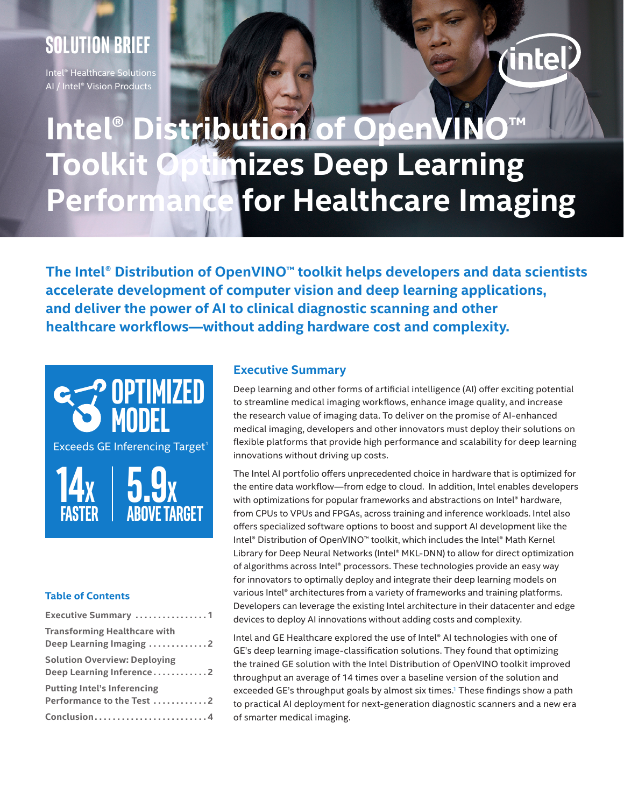### **Solution Brief**

Intel® Healthcare Solutions AI / Intel® Vision Products

# *intel*

## **Intel® Distribution of OpenVIN Toolkit Optimizes Deep Learning Performance for Healthcare Imaging**

**The Intel® Distribution of OpenVINO™ toolkit helps developers and data scientists accelerate development of computer vision and deep learning applications, and deliver the power of AI to clinical diagnostic scanning and other healthcare workflows—without adding hardware cost and complexity.**



#### **Table of Contents**

| <b>Executive Summary</b> 1                                      |
|-----------------------------------------------------------------|
| Transforming Healthcare with<br>Deep Learning Imaging 2         |
| <b>Solution Overview: Deploying</b><br>Deep Learning Inference2 |
| <b>Putting Intel's Inferencing</b><br>Performance to the Test 2 |
| Conclusion4                                                     |

#### **Executive Summary**

Deep learning and other forms of artificial intelligence (AI) offer exciting potential to streamline medical imaging workflows, enhance image quality, and increase the research value of imaging data. To deliver on the promise of AI-enhanced medical imaging, developers and other innovators must deploy their solutions on flexible platforms that provide high performance and scalability for deep learning innovations without driving up costs.

The Intel AI portfolio offers unprecedented choice in hardware that is optimized for the entire data workflow—from edge to cloud. In addition, Intel enables developers with optimizations for popular frameworks and abstractions on Intel® hardware, from CPUs to VPUs and FPGAs, across training and inference workloads. Intel also offers specialized software options to boost and support AI development like the Intel® Distribution of OpenVINO™ toolkit, which includes the Intel® Math Kernel Library for Deep Neural Networks (Intel® MKL-DNN) to allow for direct optimization of algorithms across Intel® processors. These technologies provide an easy way for innovators to optimally deploy and integrate their deep learning models on various Intel® architectures from a variety of frameworks and training platforms. Developers can leverage the existing Intel architecture in their datacenter and edge devices to deploy AI innovations without adding costs and complexity.

Intel and GE Healthcare explored the use of Intel® AI technologies with one of GE's deep learning image-classification solutions. They found that optimizing the trained GE solution with the Intel Distribution of OpenVINO toolkit improved throughput an average of 14 times over a baseline version of the solution and exceeded GE's throughput goals by almost six times.<sup>[1](#page-3-0)</sup> These findings show a path to practical AI deployment for next-generation diagnostic scanners and a new era of smarter medical imaging.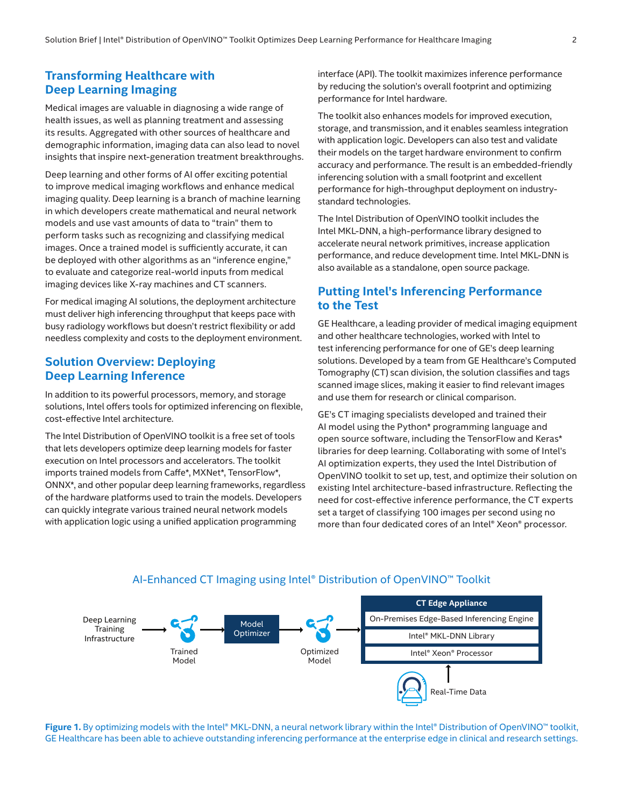#### <span id="page-1-0"></span>**Transforming Healthcare with Deep Learning Imaging**

Medical images are valuable in diagnosing a wide range of health issues, as well as planning treatment and assessing its results. Aggregated with other sources of healthcare and demographic information, imaging data can also lead to novel insights that inspire next-generation treatment breakthroughs.

Deep learning and other forms of AI offer exciting potential to improve medical imaging workflows and enhance medical imaging quality. Deep learning is a branch of machine learning in which developers create mathematical and neural network models and use vast amounts of data to "train" them to perform tasks such as recognizing and classifying medical images. Once a trained model is sufficiently accurate, it can be deployed with other algorithms as an "inference engine," to evaluate and categorize real-world inputs from medical imaging devices like X-ray machines and CT scanners.

For medical imaging AI solutions, the deployment architecture must deliver high inferencing throughput that keeps pace with busy radiology workflows but doesn't restrict flexibility or add needless complexity and costs to the deployment environment.

#### **Solution Overview: Deploying Deep Learning Inference**

In addition to its powerful processors, memory, and storage solutions, Intel offers tools for optimized inferencing on flexible, cost-effective Intel architecture.

The Intel Distribution of OpenVINO toolkit is a free set of tools that lets developers optimize deep learning models for faster execution on Intel processors and accelerators. The toolkit imports trained models from Caffe\*, MXNet\*, TensorFlow\*, ONNX\*, and other popular deep learning frameworks, regardless of the hardware platforms used to train the models. Developers can quickly integrate various trained neural network models with application logic using a unified application programming

interface (API). The toolkit maximizes inference performance by reducing the solution's overall footprint and optimizing performance for Intel hardware.

The toolkit also enhances models for improved execution, storage, and transmission, and it enables seamless integration with application logic. Developers can also test and validate their models on the target hardware environment to confirm accuracy and performance. The result is an embedded-friendly inferencing solution with a small footprint and excellent performance for high-throughput deployment on industrystandard technologies.

The Intel Distribution of OpenVINO toolkit includes the Intel MKL-DNN, a high-performance library designed to accelerate neural network primitives, increase application performance, and reduce development time. Intel MKL-DNN is also available as a standalone, open source package.

#### **Putting Intel's Inferencing Performance to the Test**

GE Healthcare, a leading provider of medical imaging equipment and other healthcare technologies, worked with Intel to test inferencing performance for one of GE's deep learning solutions. Developed by a team from GE Healthcare's Computed Tomography (CT) scan division, the solution classifies and tags scanned image slices, making it easier to find relevant images and use them for research or clinical comparison.

GE's CT imaging specialists developed and trained their AI model using the Python\* programming language and open source software, including the TensorFlow and Keras\* libraries for deep learning. Collaborating with some of Intel's AI optimization experts, they used the Intel Distribution of OpenVINO toolkit to set up, test, and optimize their solution on existing Intel architecture-based infrastructure. Reflecting the need for cost-effective inference performance, the CT experts set a target of classifying 100 images per second using no more than four dedicated cores of an Intel® Xeon® processor.



#### AI-Enhanced CT Imaging using Intel® Distribution of OpenVINO™ Toolkit

**Figure 1.** By optimizing models with the Intel® MKL-DNN, a neural network library within the Intel® Distribution of OpenVINO™ toolkit, GE Healthcare has been able to achieve outstanding inferencing performance at the enterprise edge in clinical and research settings.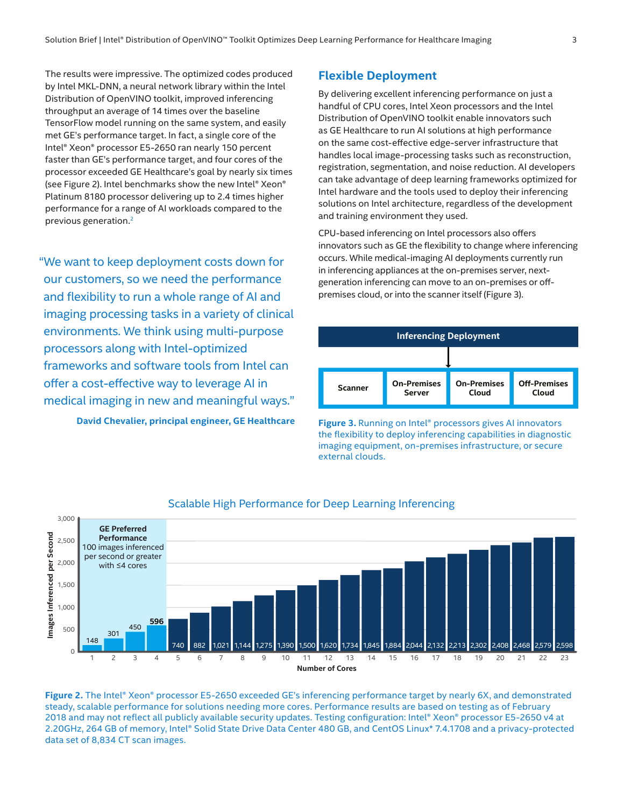The results were impressive. The optimized codes produced by Intel MKL-DNN, a neural network library within the Intel Distribution of OpenVINO toolkit, improved inferencing throughput an average of 14 times over the baseline TensorFlow model running on the same system, and easily met GE's performance target. In fact, a single core of the Intel® Xeon® processor E5-2650 ran nearly 150 percent faster than GE's performance target, and four cores of the processor exceeded GE Healthcare's goal by nearly six times (see Figure 2). Intel benchmarks show the new Intel® Xeon® Platinum 8180 processor delivering up to 2.4 times higher performance for a range of AI workloads compared to the previous generation.[2](#page-3-2)

"We want to keep deployment costs down for our customers, so we need the performance and flexibility to run a whole range of AI and imaging processing tasks in a variety of clinical environments. We think using multi-purpose processors along with Intel-optimized frameworks and software tools from Intel can offer a cost-effective way to leverage AI in medical imaging in new and meaningful ways."

**David Chevalier, principal engineer, GE Healthcare**

#### **Flexible Deployment**

By delivering excellent inferencing performance on just a handful of CPU cores, Intel Xeon processors and the Intel Distribution of OpenVINO toolkit enable innovators such as GE Healthcare to run AI solutions at high performance on the same cost-effective edge-server infrastructure that handles local image-processing tasks such as reconstruction, registration, segmentation, and noise reduction. AI developers can take advantage of deep learning frameworks optimized for Intel hardware and the tools used to deploy their inferencing solutions on Intel architecture, regardless of the development and training environment they used.

CPU-based inferencing on Intel processors also offers innovators such as GE the flexibility to change where inferencing occurs. While medical-imaging AI deployments currently run in inferencing appliances at the on-premises server, nextgeneration inferencing can move to an on-premises or offpremises cloud, or into the scanner itself (Figure 3).



**Figure 3.** Running on Intel® processors gives AI innovators the flexibility to deploy inferencing capabilities in diagnostic imaging equipment, on-premises infrastructure, or secure external clouds.



#### Scalable High Performance for Deep Learning Inferencing

**Figure 2.** The Intel® Xeon® processor E5-2650 exceeded GE's inferencing performance target by nearly 6X, and demonstrated steady, scalable performance for solutions needing more cores. Performance results are based on testing as of February 2018 and may not reflect all publicly available security updates. Testing configuration: Intel® Xeon® processor E5-2650 v4 at 2.20GHz, 264 GB of memory, Intel® Solid State Drive Data Center 480 GB, and CentOS Linux\* 7.4.1708 and a privacy-protected data set of 8,834 CT scan images.